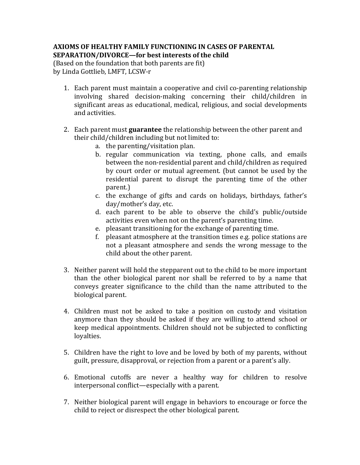## **AXIOMS OF HEALTHY FAMILY FUNCTIONING IN CASES OF PARENTAL SEPARATION/DIVORCE—for best interests of the child**

(Based on the foundation that both parents are fit) by Linda Gottlieb, LMFT, LCSW-r

- 1. Each parent must maintain a cooperative and civil co-parenting relationship involving shared decision-making concerning their child/children in significant areas as educational, medical, religious, and social developments and activities.
- 2. Each parent must **guarantee** the relationship between the other parent and their child/children including but not limited to:
	- a. the parenting/visitation plan.
	- b. regular communication via texting, phone calls, and emails between the non-residential parent and child/children as required by court order or mutual agreement. (but cannot be used by the residential parent to disrupt the parenting time of the other parent.)
	- c. the exchange of gifts and cards on holidays, birthdays, father's day/mother's day, etc.
	- d. each parent to be able to observe the child's public/outside activities even when not on the parent's parenting time.
	- e. pleasant transitioning for the exchange of parenting time.
	- f. pleasant atmosphere at the transition times e.g. police stations are not a pleasant atmosphere and sends the wrong message to the child about the other parent.
- 3. Neither parent will hold the stepparent out to the child to be more important than the other biological parent nor shall be referred to by a name that conveys greater significance to the child than the name attributed to the biological parent.
- 4. Children must not be asked to take a position on custody and visitation anymore than they should be asked if they are willing to attend school or keep medical appointments. Children should not be subjected to conflicting loyalties.
- 5. Children have the right to love and be loved by both of my parents, without guilt, pressure, disapproval, or rejection from a parent or a parent's ally.
- 6. Emotional cutoffs are never a healthy way for children to resolve interpersonal conflict—especially with a parent.
- 7. Neither biological parent will engage in behaviors to encourage or force the child to reject or disrespect the other biological parent.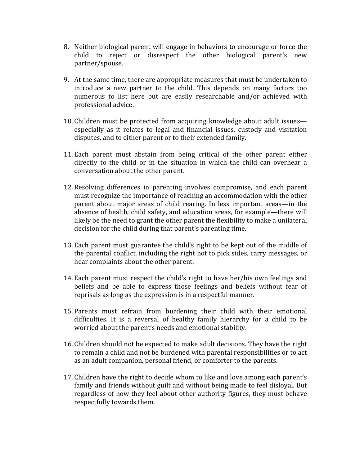- 8. Neither biological parent will engage in behaviors to encourage or force the child to reject or disrespect the other biological parent's new partner/spouse.
- 9. At the same time, there are appropriate measures that must be undertaken to introduce a new partner to the child. This depends on many factors too numerous to list here but are easily researchable and/or achieved with professional advice.
- 10. Children must be protected from acquiring knowledge about adult issues especially as it relates to legal and financial issues, custody and visitation disputes, and to either parent or to their extended family.
- 11. Each parent must abstain from being critical of the other parent either directly to the child or in the situation in which the child can overhear a conversation about the other parent.
- 12. Resolving differences in parenting involves compromise, and each parent must recognize the importance of reaching an accommodation with the other parent about major areas of child rearing. In less important areas—in the absence of health, child safety, and education areas, for example—there will likely be the need to grant the other parent the flexibility to make a unilateral decision for the child during that parent's parenting time.
- 13. Each parent must guarantee the child's right to be kept out of the middle of the parental conflict, including the right not to pick sides, carry messages, or hear complaints about the other parent.
- 14. Each parent must respect the child's right to have her/his own feelings and beliefs and be able to express those feelings and beliefs without fear of reprisals as long as the expression is in a respectful manner.
- 15. Parents must refrain from burdening their child with their emotional difficulties. It is a reversal of healthy family hierarchy for a child to be worried about the parent's needs and emotional stability.
- 16. Children should not be expected to make adult decisions. They have the right to remain a child and not be burdened with parental responsibilities or to act as an adult companion, personal friend, or comforter to the parents.
- 17. Children have the right to decide whom to like and love among each parent's family and friends without guilt and without being made to feel disloyal. But regardless of how they feel about other authority figures, they must behave respectfully towards them.